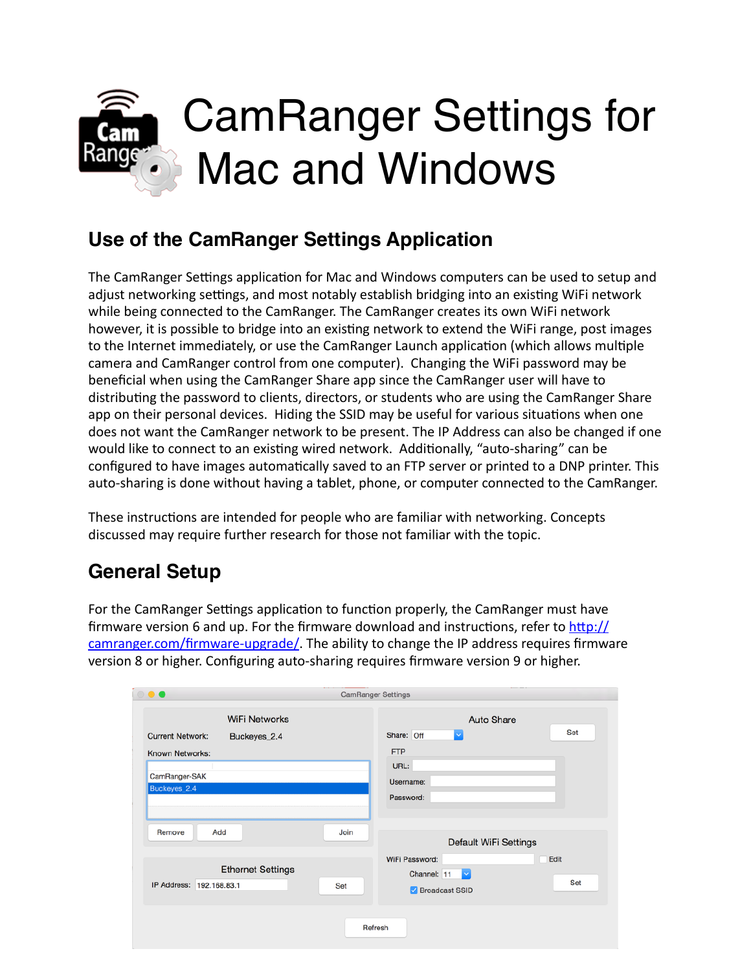

### **Use of the CamRanger Settings Application**

The CamRanger Settings application for Mac and Windows computers can be used to setup and adjust networking settings, and most notably establish bridging into an existing WiFi network while being connected to the CamRanger. The CamRanger creates its own WiFi network however, it is possible to bridge into an existing network to extend the WiFi range, post images to the Internet immediately, or use the CamRanger Launch application (which allows multiple camera and CamRanger control from one computer). Changing the WiFi password may be beneficial when using the CamRanger Share app since the CamRanger user will have to distributing the password to clients, directors, or students who are using the CamRanger Share app on their personal devices. Hiding the SSID may be useful for various situations when one does not want the CamRanger network to be present. The IP Address can also be changed if one would like to connect to an existing wired network. Additionally, "auto-sharing" can be configured to have images automatically saved to an FTP server or printed to a DNP printer. This auto-sharing is done without having a tablet, phone, or computer connected to the CamRanger.

These instructions are intended for people who are familiar with networking. Concepts discussed may require further research for those not familiar with the topic.

# **General Setup**

For the CamRanger Settings application to function properly, the CamRanger must have firmware version 6 and up. For the firmware download and instructions, refer to  $\frac{http://}{http://}$ camranger.com/firmware-upgrade/. The ability to change the IP address requires firmware version 8 or higher. Configuring auto-sharing requires firmware version 9 or higher.

|                                                                                                                     | <b>CamRanger Settings</b>                                                                        |  |
|---------------------------------------------------------------------------------------------------------------------|--------------------------------------------------------------------------------------------------|--|
| <b>WiFi Networks</b><br><b>Current Network:</b><br>Buckeyes_2.4<br>Known Networks:<br>CamRanger-SAK<br>Buckeyes_2.4 | <b>Auto Share</b><br>Set<br>Share: Off<br>$\sim$<br><b>FTP</b><br>URL:<br>Username:<br>Password: |  |
| Add<br>Remove                                                                                                       | Join<br>Default WiFi Settings                                                                    |  |
| <b>Ethernet Settings</b><br>IP Address: 192.168.83.1                                                                | WiFi Password:<br>Edit<br>$\sim$<br>Channel: 11<br>Set<br>Set<br>Broadcast SSID                  |  |
|                                                                                                                     | Refresh                                                                                          |  |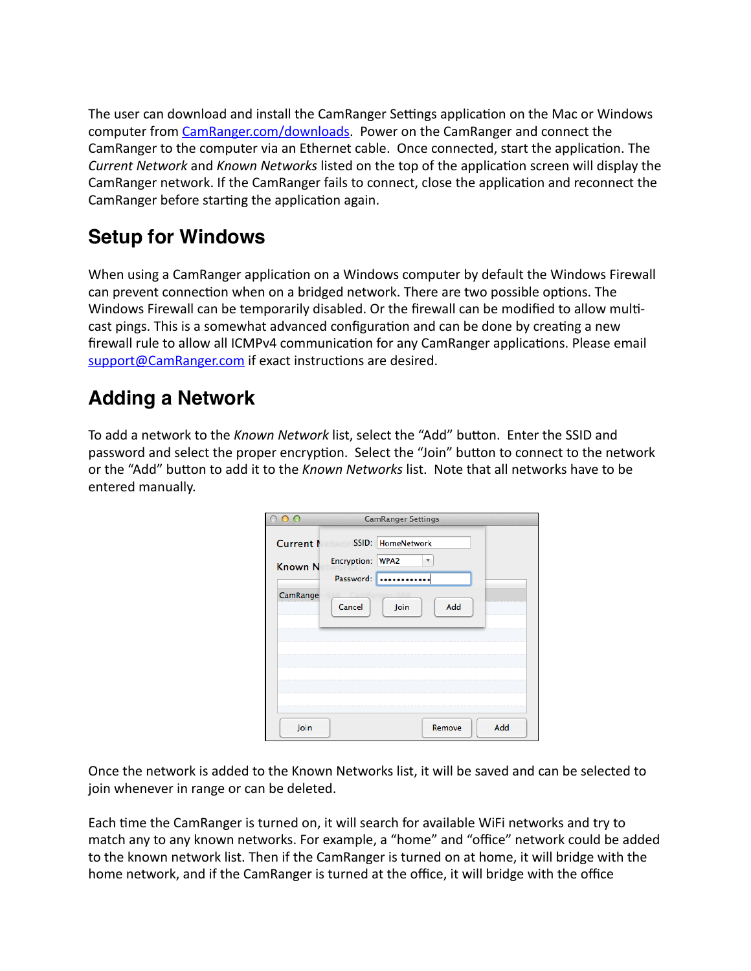The user can download and install the CamRanger Settings application on the Mac or Windows computer from [CamRanger.com/downloads](http://camranger.com/downloads). Power on the CamRanger and connect the CamRanger to the computer via an Ethernet cable. Once connected, start the application. The *Current Network* and *Known Networks* listed on the top of the application screen will display the CamRanger network. If the CamRanger fails to connect, close the application and reconnect the CamRanger before starting the application again.

### **Setup for Windows**

When using a CamRanger application on a Windows computer by default the Windows Firewall can prevent connection when on a bridged network. There are two possible options. The Windows Firewall can be temporarily disabled. Or the firewall can be modified to allow multicast pings. This is a somewhat advanced configuration and can be done by creating a new firewall rule to allow all ICMPv4 communication for any CamRanger applications. Please email support@CamRanger.com if exact instructions are desired.

# **Adding a Network**

To add a network to the *Known Network* list, select the "Add" button. Enter the SSID and password and select the proper encryption. Select the "Join" button to connect to the network or the "Add" button to add it to the *Known Networks* list. Note that all networks have to be entered manually.

| Ω                           | <b>CamRanger Settings</b>                                                      |
|-----------------------------|--------------------------------------------------------------------------------|
| Current N<br><b>Known N</b> | SSID: HomeNetwork<br>Encryption: WPA2<br>$\overline{\phantom{a}}$<br>Password: |
| CamRange                    | Add<br>Cancel<br>Join                                                          |
| Join                        | Add<br>Remove                                                                  |

Once the network is added to the Known Networks list, it will be saved and can be selected to join whenever in range or can be deleted.

Each time the CamRanger is turned on, it will search for available WiFi networks and try to match any to any known networks. For example, a "home" and "office" network could be added to the known network list. Then if the CamRanger is turned on at home, it will bridge with the home network, and if the CamRanger is turned at the office, it will bridge with the office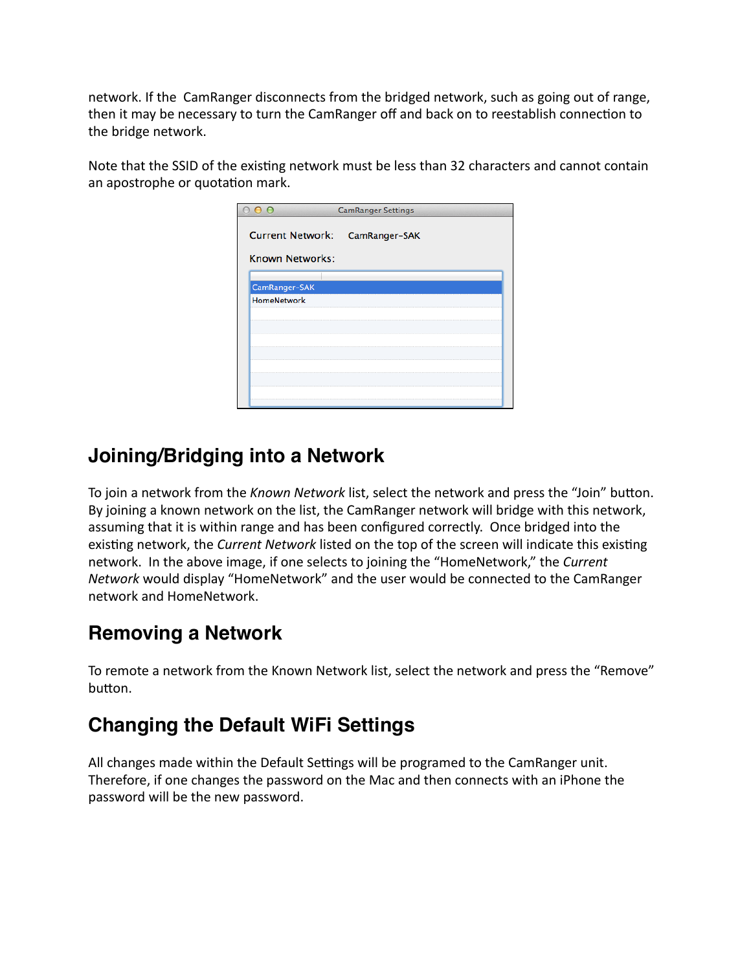network. If the CamRanger disconnects from the bridged network, such as going out of range, then it may be necessary to turn the CamRanger off and back on to reestablish connection to the bridge network.

Note that the SSID of the existing network must be less than 32 characters and cannot contain an apostrophe or quotation mark.

| $\overline{O}$                 | <b>CamRanger Settings</b> |  |  |  |  |
|--------------------------------|---------------------------|--|--|--|--|
| Current Network: CamRanger-SAK |                           |  |  |  |  |
| Known Networks:                |                           |  |  |  |  |
| CamRanger-SAK                  |                           |  |  |  |  |
| <b>HomeNetwork</b>             |                           |  |  |  |  |
|                                |                           |  |  |  |  |
|                                |                           |  |  |  |  |
|                                |                           |  |  |  |  |
|                                |                           |  |  |  |  |
|                                |                           |  |  |  |  |

#### **Joining/Bridging into a Network**

To join a network from the *Known Network* list, select the network and press the "Join" button. By joining a known network on the list, the CamRanger network will bridge with this network, assuming that it is within range and has been configured correctly. Once bridged into the existing network, the *Current Network* listed on the top of the screen will indicate this existing network. In the above image, if one selects to joining the "HomeNetwork," the *Current Network* would display "HomeNetwork" and the user would be connected to the CamRanger network and HomeNetwork. 

#### **Removing a Network**

To remote a network from the Known Network list, select the network and press the "Remove" button.

# **Changing the Default WiFi Settings**

All changes made within the Default Settings will be programed to the CamRanger unit. Therefore, if one changes the password on the Mac and then connects with an iPhone the password will be the new password.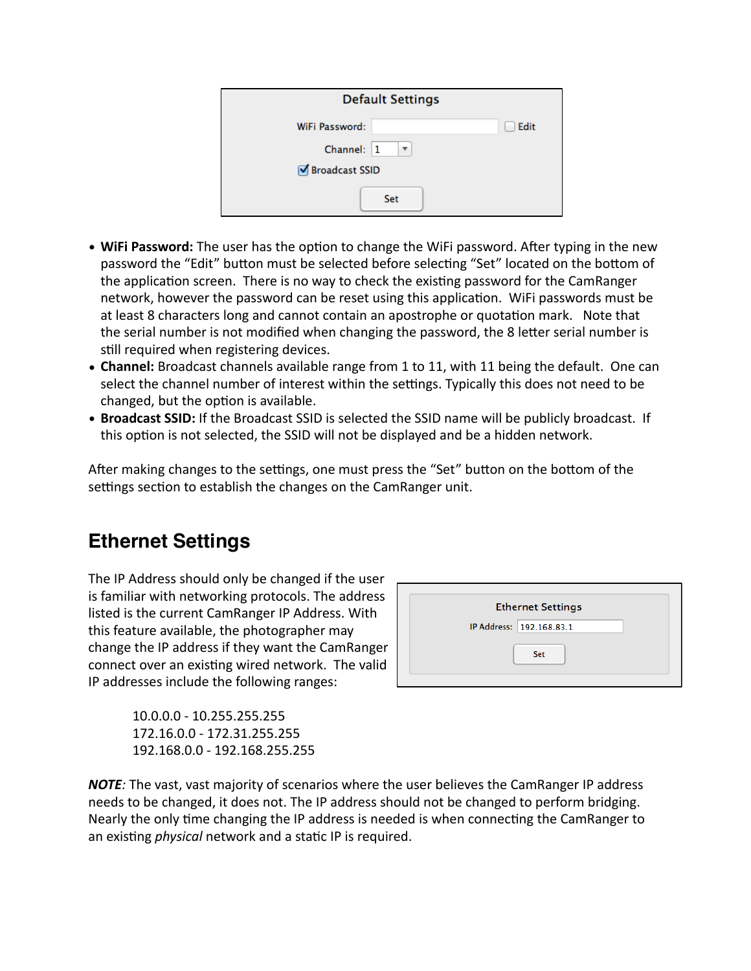| <b>Default Settings</b> |                        |      |  |
|-------------------------|------------------------|------|--|
| WiFi Password:          |                        | Edit |  |
| Channel: 1              | $\overline{\mathbf v}$ |      |  |
| Ø Broadcast SSID        |                        |      |  |
|                         | <b>Set</b>             |      |  |

- WiFi Password: The user has the option to change the WiFi password. After typing in the new password the "Edit" button must be selected before selecting "Set" located on the bottom of the application screen. There is no way to check the existing password for the CamRanger network, however the password can be reset using this application. WiFi passwords must be at least 8 characters long and cannot contain an apostrophe or quotation mark. Note that the serial number is not modified when changing the password, the 8 letter serial number is still required when registering devices.
- **Channel:** Broadcast channels available range from 1 to 11, with 11 being the default. One can select the channel number of interest within the settings. Typically this does not need to be changed, but the option is available.
- Broadcast SSID: If the Broadcast SSID is selected the SSID name will be publicly broadcast. If this option is not selected, the SSID will not be displayed and be a hidden network.

After making changes to the settings, one must press the "Set" button on the bottom of the settings section to establish the changes on the CamRanger unit.

### **Ethernet Settings**

The IP Address should only be changed if the user is familiar with networking protocols. The address listed is the current CamRanger IP Address. With this feature available, the photographer may change the IP address if they want the CamRanger connect over an existing wired network. The valid IP addresses include the following ranges:



10.0.0.0 - 10.255.255.255 172.16.0.0 - 172.31.255.255 192.168.0.0 - 192.168.255.255

**NOTE**: The vast, vast majority of scenarios where the user believes the CamRanger IP address needs to be changed, it does not. The IP address should not be changed to perform bridging. Nearly the only time changing the IP address is needed is when connecting the CamRanger to an existing *physical* network and a static IP is required.